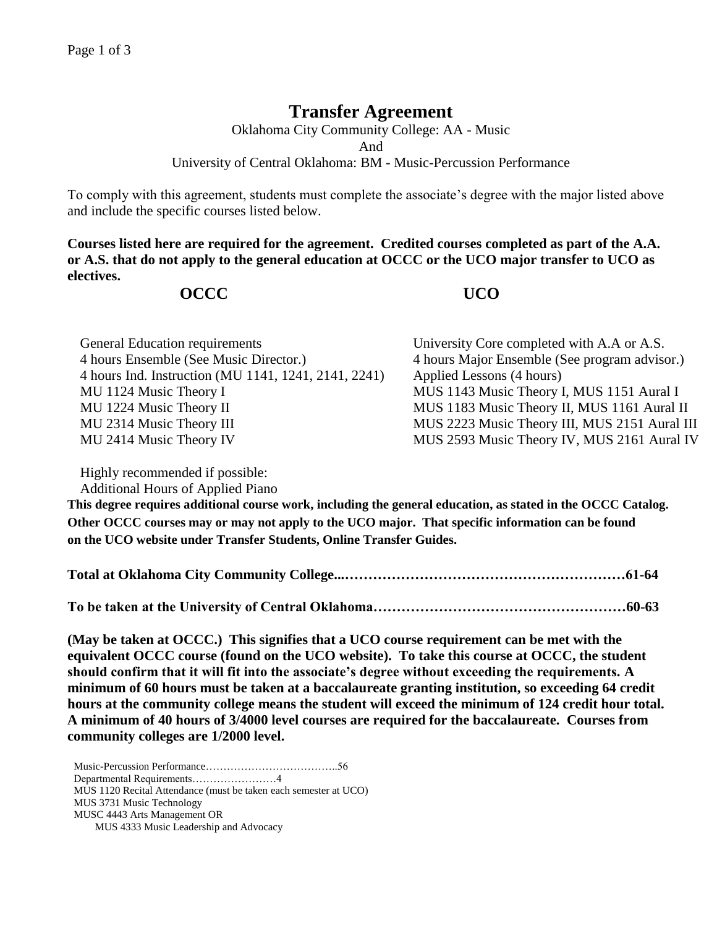## **Transfer Agreement**

Oklahoma City Community College: AA - Music And University of Central Oklahoma: BM - Music-Percussion Performance

To comply with this agreement, students must complete the associate's degree with the major listed above and include the specific courses listed below.

**Courses listed here are required for the agreement. Credited courses completed as part of the A.A. or A.S. that do not apply to the general education at OCCC or the UCO major transfer to UCO as electives.**

## **OCCC UCO**

| <b>General Education requirements</b>                | University Core completed with A.A or A.S.    |
|------------------------------------------------------|-----------------------------------------------|
| 4 hours Ensemble (See Music Director.)               | 4 hours Major Ensemble (See program advisor.) |
| 4 hours Ind. Instruction (MU 1141, 1241, 2141, 2241) | Applied Lessons (4 hours)                     |
| MU 1124 Music Theory I                               | MUS 1143 Music Theory I, MUS 1151 Aural I     |
| MU 1224 Music Theory II                              | MUS 1183 Music Theory II, MUS 1161 Aural II   |
| MU 2314 Music Theory III                             | MUS 2223 Music Theory III, MUS 2151 Aural III |
| MU 2414 Music Theory IV                              | MUS 2593 Music Theory IV, MUS 2161 Aural IV   |

Highly recommended if possible:

Additional Hours of Applied Piano

**This degree requires additional course work, including the general education, as stated in the OCCC Catalog. Other OCCC courses may or may not apply to the UCO major. That specific information can be found on the UCO website under Transfer Students, Online Transfer Guides.** 

|--|--|--|

**To be taken at the University of Central Oklahoma………………………………………………60-63**

**(May be taken at OCCC.) This signifies that a UCO course requirement can be met with the equivalent OCCC course (found on the UCO website). To take this course at OCCC, the student should confirm that it will fit into the associate's degree without exceeding the requirements. A minimum of 60 hours must be taken at a baccalaureate granting institution, so exceeding 64 credit hours at the community college means the student will exceed the minimum of 124 credit hour total. A minimum of 40 hours of 3/4000 level courses are required for the baccalaureate. Courses from community colleges are 1/2000 level.**

Music-Percussion Performance………………………………..56 Departmental Requirements……………………4 MUS 1120 Recital Attendance (must be taken each semester at UCO) MUS 3731 Music Technology MUSC 4443 Arts Management OR MUS 4333 Music Leadership and Advocacy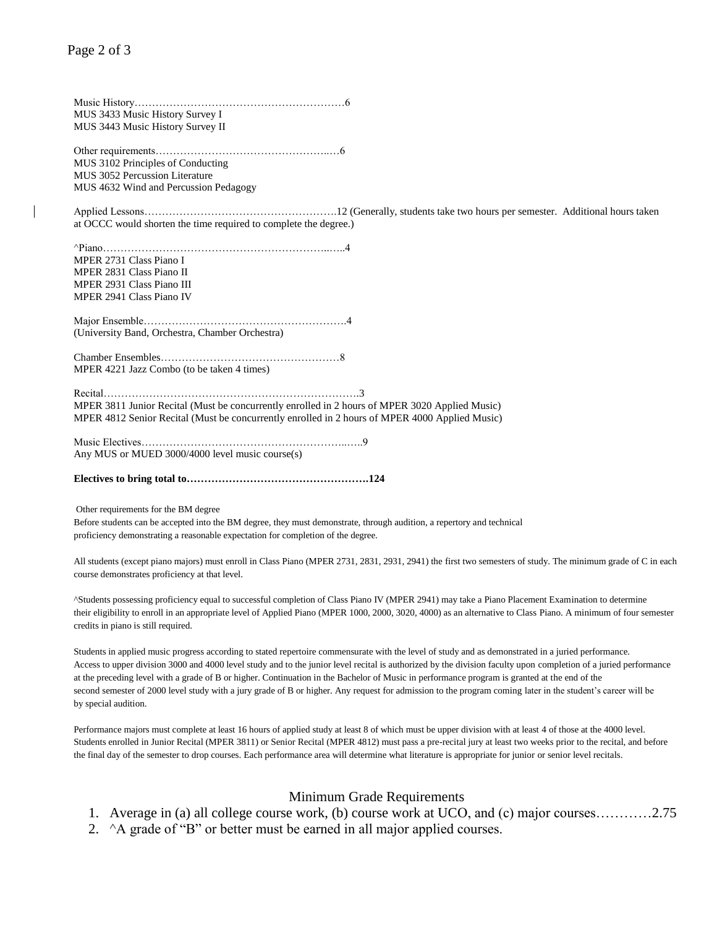Music History……………………………………………………6 MUS 3433 Music History Survey I MUS 3443 Music History Survey II Other requirements…………………………………………..…6 MUS 3102 Principles of Conducting MUS 3052 Percussion Literature MUS 4632 Wind and Percussion Pedagogy Applied Lessons……………………………………………….12 (Generally, students take two hours per semester. Additional hours taken at OCCC would shorten the time required to complete the degree.) ^Piano………………………………………………………..…..4 MPER 2731 Class Piano I MPER 2831 Class Piano II MPER 2931 Class Piano III MPER 2941 Class Piano IV Major Ensemble………………………………………………….4 (University Band, Orchestra, Chamber Orchestra) Chamber Ensembles……………………………………………8 MPER 4221 Jazz Combo (to be taken 4 times) Recital……………………………………………………………….3 MPER 3811 Junior Recital (Must be concurrently enrolled in 2 hours of MPER 3020 Applied Music) MPER 4812 Senior Recital (Must be concurrently enrolled in 2 hours of MPER 4000 Applied Music) Music Electives…………………………………………………..…..9 Any MUS or MUED 3000/4000 level music course(s)

**Electives to bring total to…………………………………………….124**

Other requirements for the BM degree

Before students can be accepted into the BM degree, they must demonstrate, through audition, a repertory and technical proficiency demonstrating a reasonable expectation for completion of the degree.

All students (except piano majors) must enroll in Class Piano (MPER 2731, 2831, 2931, 2941) the first two semesters of study. The minimum grade of C in each course demonstrates proficiency at that level.

^Students possessing proficiency equal to successful completion of Class Piano IV (MPER 2941) may take a Piano Placement Examination to determine their eligibility to enroll in an appropriate level of Applied Piano (MPER 1000, 2000, 3020, 4000) as an alternative to Class Piano. A minimum of four semester credits in piano is still required.

Students in applied music progress according to stated repertoire commensurate with the level of study and as demonstrated in a juried performance. Access to upper division 3000 and 4000 level study and to the junior level recital is authorized by the division faculty upon completion of a juried performance at the preceding level with a grade of B or higher. Continuation in the Bachelor of Music in performance program is granted at the end of the second semester of 2000 level study with a jury grade of B or higher. Any request for admission to the program coming later in the student's career will be by special audition.

Performance majors must complete at least 16 hours of applied study at least 8 of which must be upper division with at least 4 of those at the 4000 level. Students enrolled in Junior Recital (MPER 3811) or Senior Recital (MPER 4812) must pass a pre-recital jury at least two weeks prior to the recital, and before the final day of the semester to drop courses. Each performance area will determine what literature is appropriate for junior or senior level recitals.

## Minimum Grade Requirements

- 1. Average in (a) all college course work, (b) course work at UCO, and (c) major courses…………2.75
- 2.  $\Delta$  a grade of "B" or better must be earned in all major applied courses.